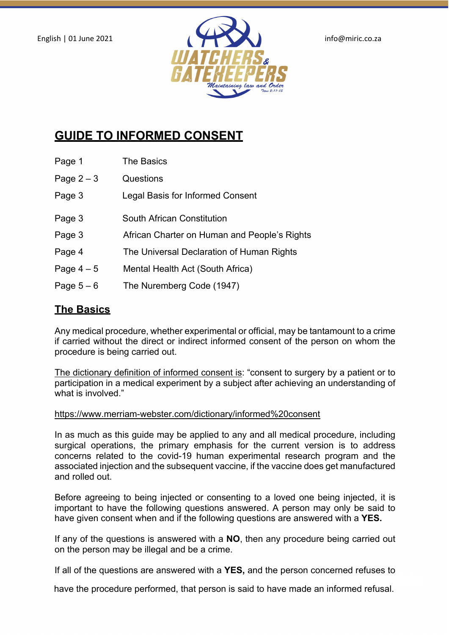

# **GUIDE TO INFORMED CONSENT**

| Page 1     | The Basics                                   |
|------------|----------------------------------------------|
| Page $2-3$ | Questions                                    |
| Page 3     | Legal Basis for Informed Consent             |
| Page 3     | South African Constitution                   |
| Page 3     | African Charter on Human and People's Rights |
| Page 4     | The Universal Declaration of Human Rights    |
| Page $4-5$ | Mental Health Act (South Africa)             |
| Page $5-6$ | The Nuremberg Code (1947)                    |

### **The Basics**

Any medical procedure, whether experimental or official, may be tantamount to a crime if carried without the direct or indirect informed consent of the person on whom the procedure is being carried out.

The dictionary definition of informed consent is: "consent to surgery by a patient or to participation in a medical experiment by a subject after achieving an understanding of what is involved."

#### https://www.merriam-webster.com/dictionary/informed%20consent

In as much as this guide may be applied to any and all medical procedure, including surgical operations, the primary emphasis for the current version is to address concerns related to the covid-19 human experimental research program and the associated injection and the subsequent vaccine, if the vaccine does get manufactured and rolled out.

Before agreeing to being injected or consenting to a loved one being injected, it is important to have the following questions answered. A person may only be said to have given consent when and if the following questions are answered with a **YES.**

If any of the questions is answered with a **NO**, then any procedure being carried out on the person may be illegal and be a crime.

If all of the questions are answered with a **YES,** and the person concerned refuses to

have the procedure performed, that person is said to have made an informed refusal.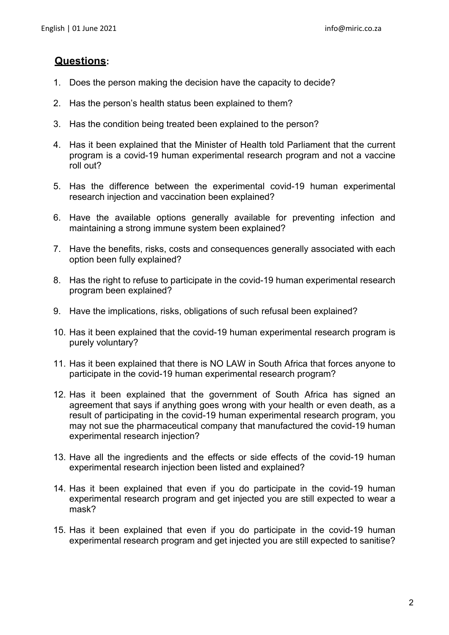### **Questions:**

- 1. Does the person making the decision have the capacity to decide?
- 2. Has the person's health status been explained to them?
- 3. Has the condition being treated been explained to the person?
- 4. Has it been explained that the Minister of Health told Parliament that the current program is a covid-19 human experimental research program and not a vaccine roll out?
- 5. Has the difference between the experimental covid-19 human experimental research injection and vaccination been explained?
- 6. Have the available options generally available for preventing infection and maintaining a strong immune system been explained?
- 7. Have the benefits, risks, costs and consequences generally associated with each option been fully explained?
- 8. Has the right to refuse to participate in the covid-19 human experimental research program been explained?
- 9. Have the implications, risks, obligations of such refusal been explained?
- 10. Has it been explained that the covid-19 human experimental research program is purely voluntary?
- 11. Has it been explained that there is NO LAW in South Africa that forces anyone to participate in the covid-19 human experimental research program?
- 12. Has it been explained that the government of South Africa has signed an agreement that says if anything goes wrong with your health or even death, as a result of participating in the covid-19 human experimental research program, you may not sue the pharmaceutical company that manufactured the covid-19 human experimental research injection?
- 13. Have all the ingredients and the effects or side effects of the covid-19 human experimental research injection been listed and explained?
- 14. Has it been explained that even if you do participate in the covid-19 human experimental research program and get injected you are still expected to wear a mask?
- 15. Has it been explained that even if you do participate in the covid-19 human experimental research program and get injected you are still expected to sanitise?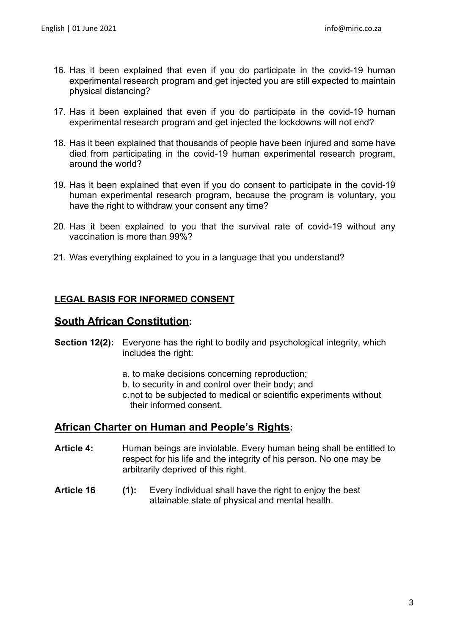- 16. Has it been explained that even if you do participate in the covid-19 human experimental research program and get injected you are still expected to maintain physical distancing?
- 17. Has it been explained that even if you do participate in the covid-19 human experimental research program and get injected the lockdowns will not end?
- 18. Has it been explained that thousands of people have been injured and some have died from participating in the covid-19 human experimental research program, around the world?
- 19. Has it been explained that even if you do consent to participate in the covid-19 human experimental research program, because the program is voluntary, you have the right to withdraw your consent any time?
- 20. Has it been explained to you that the survival rate of covid-19 without any vaccination is more than 99%?
- 21. Was everything explained to you in a language that you understand?

#### **LEGAL BASIS FOR INFORMED CONSENT**

### **South African Constitution:**

- **Section 12(2):** Everyone has the right to bodily and psychological integrity, which includes the right:
	- a. to make decisions concerning reproduction;
	- b. to security in and control over their body; and
	- c.not to be subjected to medical or scientific experiments without their informed consent.

### **African Charter on Human and People's Rights:**

- Article 4: Human beings are inviolable. Every human being shall be entitled to respect for his life and the integrity of his person. No one may be arbitrarily deprived of this right.
- **Article 16 (1):** Every individual shall have the right to enjoy the best attainable state of physical and mental health.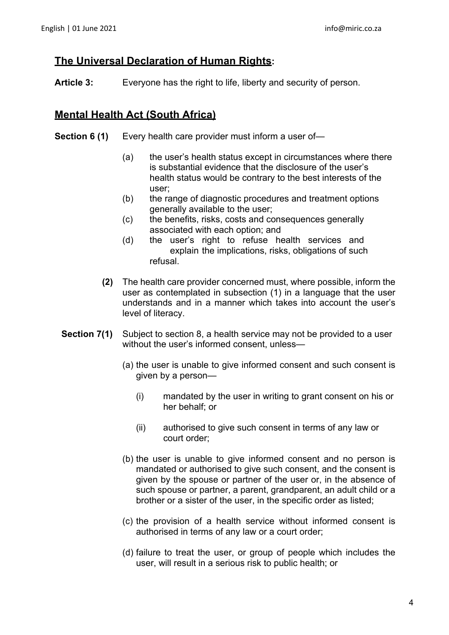### **The Universal Declaration of Human Rights:**

**Article 3:** Everyone has the right to life, liberty and security of person.

### **Mental Health Act (South Africa)**

- **Section 6 (1)** Every health care provider must inform a user of-
	- (a) the user's health status except in circumstances where there is substantial evidence that the disclosure of the user's health status would be contrary to the best interests of the user;
	- (b) the range of diagnostic procedures and treatment options generally available to the user;
	- (c) the benefits, risks, costs and consequences generally associated with each option; and
	- (d) the user's right to refuse health services and explain the implications, risks, obligations of such refusal.
	- **(2)** The health care provider concerned must, where possible, inform the user as contemplated in subsection (1) in a language that the user understands and in a manner which takes into account the user's level of literacy.
	- **Section 7(1)** Subject to section 8, a health service may not be provided to a user without the user's informed consent, unless—
		- (a) the user is unable to give informed consent and such consent is given by a person—
			- (i) mandated by the user in writing to grant consent on his or her behalf; or
			- (ii) authorised to give such consent in terms of any law or court order;
		- (b) the user is unable to give informed consent and no person is mandated or authorised to give such consent, and the consent is given by the spouse or partner of the user or, in the absence of such spouse or partner, a parent, grandparent, an adult child or a brother or a sister of the user, in the specific order as listed;
		- (c) the provision of a health service without informed consent is authorised in terms of any law or a court order;
		- (d) failure to treat the user, or group of people which includes the user, will result in a serious risk to public health; or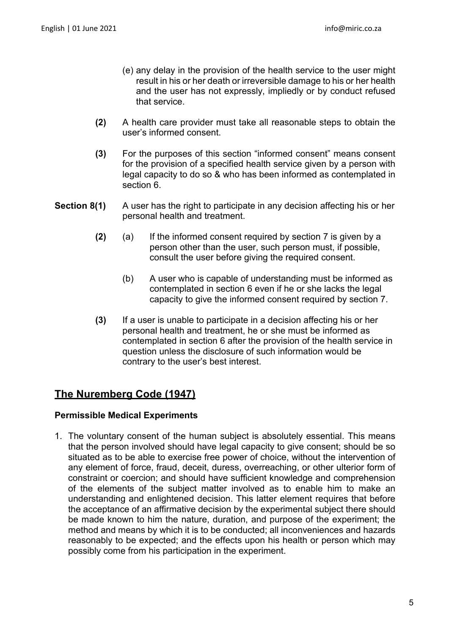- (e) any delay in the provision of the health service to the user might result in his or her death or irreversible damage to his or her health and the user has not expressly, impliedly or by conduct refused that service.
- **(2)** A health care provider must take all reasonable steps to obtain the user's informed consent.
- **(3)** For the purposes of this section "informed consent" means consent for the provision of a specified health service given by a person with legal capacity to do so & who has been informed as contemplated in section 6.
- **Section 8(1)** A user has the right to participate in any decision affecting his or her personal health and treatment.
	- **(2)** (a) If the informed consent required by section 7 is given by a person other than the user, such person must, if possible, consult the user before giving the required consent.
		- (b) A user who is capable of understanding must be informed as contemplated in section 6 even if he or she lacks the legal capacity to give the informed consent required by section 7.
	- **(3)** If a user is unable to participate in a decision affecting his or her personal health and treatment, he or she must be informed as contemplated in section 6 after the provision of the health service in question unless the disclosure of such information would be contrary to the user's best interest.

## **The Nuremberg Code (1947)**

#### **Permissible Medical Experiments**

1. The voluntary consent of the human subject is absolutely essential. This means that the person involved should have legal capacity to give consent; should be so situated as to be able to exercise free power of choice, without the intervention of any element of force, fraud, deceit, duress, overreaching, or other ulterior form of constraint or coercion; and should have sufficient knowledge and comprehension of the elements of the subject matter involved as to enable him to make an understanding and enlightened decision. This latter element requires that before the acceptance of an affirmative decision by the experimental subject there should be made known to him the nature, duration, and purpose of the experiment; the method and means by which it is to be conducted; all inconveniences and hazards reasonably to be expected; and the effects upon his health or person which may possibly come from his participation in the experiment.